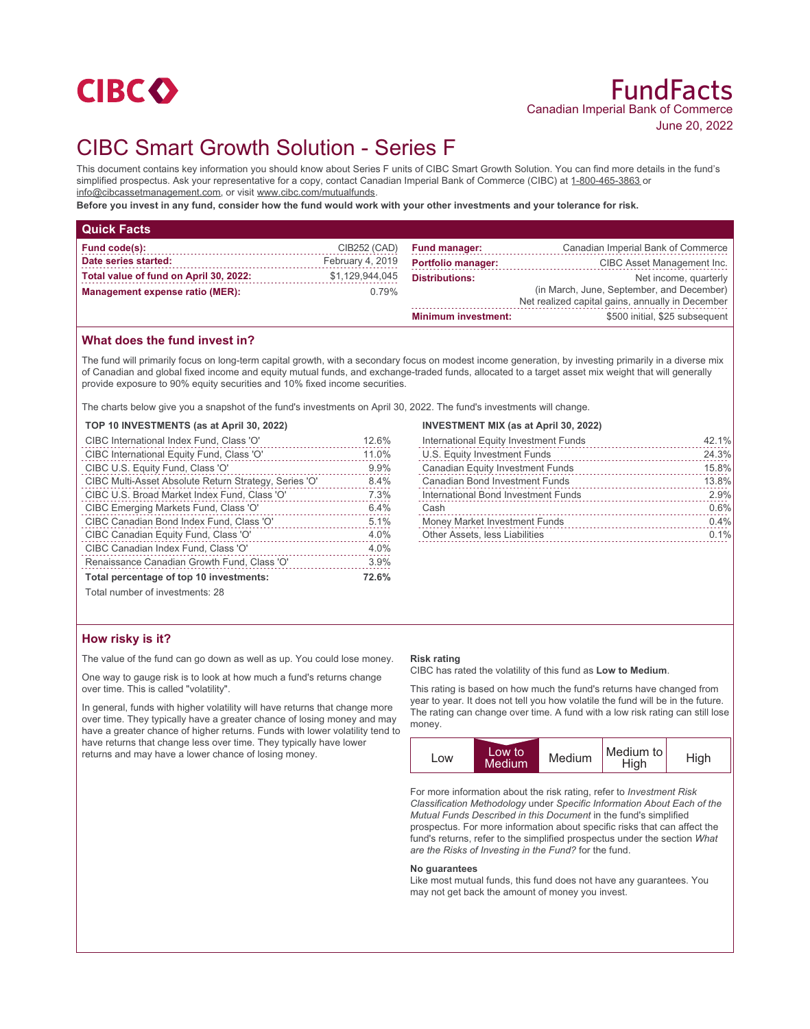

# CIBC Smart Growth Solution - Series F

This document contains key information you should know about Series F units of CIBC Smart Growth Solution. You can find more details in the fund's simplified prospectus. Ask your representative for a copy, contact Canadian Imperial Bank of Commerce (CIBC) at 1-800-465-3863 or info@cibcassetmanagement.com, or visit www.cibc.com/mutualfunds.

**Before you invest in any fund, consider how the fund would work with your other investments and your tolerance for risk.**

| <b>Quick Facts</b>                     |                  |                            |                                                                                               |
|----------------------------------------|------------------|----------------------------|-----------------------------------------------------------------------------------------------|
| Fund code(s):                          | CIB252 (CAD)     | <b>Fund manager:</b>       | Canadian Imperial Bank of Commerce                                                            |
| Date series started:                   | February 4, 2019 | <b>Portfolio manager:</b>  | CIBC Asset Management Inc.                                                                    |
| Total value of fund on April 30, 2022: | \$1,129,944,045  | <b>Distributions:</b>      | Net income, quarterly                                                                         |
| Management expense ratio (MER):        | $0.79\%$         |                            | (in March, June, September, and December)<br>Net realized capital gains, annually in December |
|                                        |                  | <b>Minimum investment:</b> | \$500 initial, \$25 subsequent                                                                |

## **What does the fund invest in?**

The fund will primarily focus on long-term capital growth, with a secondary focus on modest income generation, by investing primarily in a diverse mix of Canadian and global fixed income and equity mutual funds, and exchange-traded funds, allocated to a target asset mix weight that will generally provide exposure to 90% equity securities and 10% fixed income securities.

The charts below give you a snapshot of the fund's investments on April 30, 2022. The fund's investments will change.

## **TOP 10 INVESTMENTS (as at April 30, 2022)**

| CIBC International Index Fund, Class 'O'              | 12.6% |
|-------------------------------------------------------|-------|
| CIBC International Equity Fund, Class 'O'             | 11.0% |
| CIBC U.S. Equity Fund, Class 'O'                      | 9.9%  |
| CIBC Multi-Asset Absolute Return Strategy, Series 'O' | 8.4%  |
| CIBC U.S. Broad Market Index Fund, Class 'O'          | 7.3%  |
| CIBC Emerging Markets Fund, Class 'O'                 | 6.4%  |
| CIBC Canadian Bond Index Fund, Class 'O'              | 5.1%  |
| CIBC Canadian Equity Fund, Class 'O'                  | 4.0%  |
| CIBC Canadian Index Fund, Class 'O'                   | 4.0%  |
| Renaissance Canadian Growth Fund, Class 'O'           | 3.9%  |
| Total percentage of top 10 investments:               | 72.6% |

Total number of investments: 28

## **How risky is it?**

The value of the fund can go down as well as up. You could lose money.

One way to gauge risk is to look at how much a fund's returns change over time. This is called "volatility".

In general, funds with higher volatility will have returns that change more over time. They typically have a greater chance of losing money and may have a greater chance of higher returns. Funds with lower volatility tend to have returns that change less over time. They typically have lower returns and may have a lower chance of losing money.

#### **INVESTMENT MIX (as at April 30, 2022)**

| International Equity Investment Funds   | 42.1% |
|-----------------------------------------|-------|
| U.S. Equity Investment Funds            | 24.3% |
| <b>Canadian Equity Investment Funds</b> | 15.8% |
| <b>Canadian Bond Investment Funds</b>   | 13.8% |
| International Bond Investment Funds     | 2.9%  |
| Cash                                    | 0.6%  |
| Money Market Investment Funds           | 0.4%  |
| Other Assets, less Liabilities          | 0.1%  |
|                                         |       |

#### **Risk rating**

CIBC has rated the volatility of this fund as **Low to Medium**.

This rating is based on how much the fund's returns have changed from year to year. It does not tell you how volatile the fund will be in the future. The rating can change over time. A fund with a low risk rating can still lose money.



For more information about the risk rating, refer to *Investment Risk Classification Methodology* under *Specific Information About Each of the Mutual Funds Described in this Document* in the fund's simplified prospectus. For more information about specific risks that can affect the fund's returns, refer to the simplified prospectus under the section *What are the Risks of Investing in the Fund?* for the fund.

#### **No guarantees**

Like most mutual funds, this fund does not have any guarantees. You may not get back the amount of money you invest.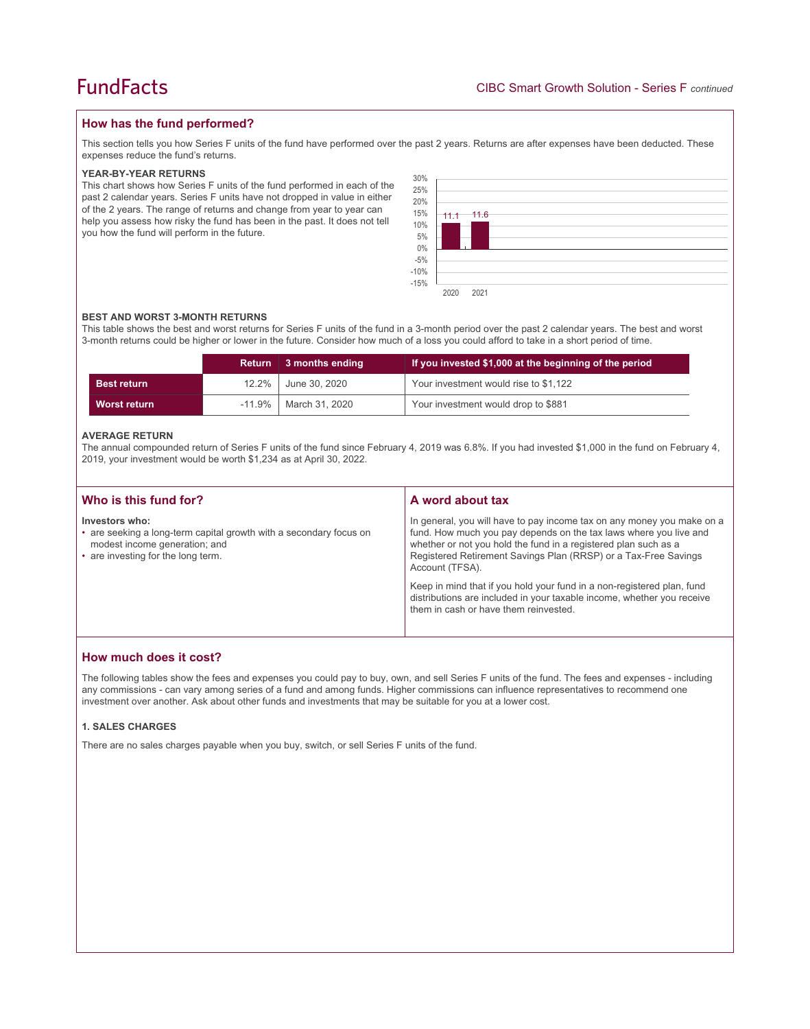## **How has the fund performed?**

This section tells you how Series F units of the fund have performed over the past 2 years. Returns are after expenses have been deducted. These expenses reduce the fund's returns.

#### **YEAR-BY-YEAR RETURNS**

This chart shows how Series F units of the fund performed in each of the past 2 calendar years. Series F units have not dropped in value in either of the 2 years. The range of returns and change from year to year can help you assess how risky the fund has been in the past. It does not tell you how the fund will perform in the future.



#### **BEST AND WORST 3-MONTH RETURNS**

This table shows the best and worst returns for Series F units of the fund in a 3-month period over the past 2 calendar years. The best and worst 3-month returns could be higher or lower in the future. Consider how much of a loss you could afford to take in a short period of time.

|                    |       | Return 3 months ending  | If you invested \$1,000 at the beginning of the period |
|--------------------|-------|-------------------------|--------------------------------------------------------|
| <b>Best return</b> | 12.2% | June 30, 2020           | Your investment would rise to \$1,122                  |
| Worst return       |       | -11.9%   March 31, 2020 | Your investment would drop to \$881                    |

#### **AVERAGE RETURN**

The annual compounded return of Series F units of the fund since February 4, 2019 was 6.8%. If you had invested \$1,000 in the fund on February 4, 2019, your investment would be worth \$1,234 as at April 30, 2022.

| Who is this fund for?                                                                                                                                       | A word about tax                                                                                                                                                                                                                                                                                                                                                                                                                                                                                  |
|-------------------------------------------------------------------------------------------------------------------------------------------------------------|---------------------------------------------------------------------------------------------------------------------------------------------------------------------------------------------------------------------------------------------------------------------------------------------------------------------------------------------------------------------------------------------------------------------------------------------------------------------------------------------------|
| Investors who:<br>• are seeking a long-term capital growth with a secondary focus on<br>modest income generation; and<br>• are investing for the long term. | In general, you will have to pay income tax on any money you make on a<br>fund. How much you pay depends on the tax laws where you live and<br>whether or not you hold the fund in a registered plan such as a<br>Registered Retirement Savings Plan (RRSP) or a Tax-Free Savings<br>Account (TFSA).<br>Keep in mind that if you hold your fund in a non-registered plan, fund<br>distributions are included in your taxable income, whether you receive<br>them in cash or have them reinvested. |

## **How much does it cost?**

The following tables show the fees and expenses you could pay to buy, own, and sell Series F units of the fund. The fees and expenses - including any commissions - can vary among series of a fund and among funds. Higher commissions can influence representatives to recommend one investment over another. Ask about other funds and investments that may be suitable for you at a lower cost.

#### **1. SALES CHARGES**

There are no sales charges payable when you buy, switch, or sell Series F units of the fund.